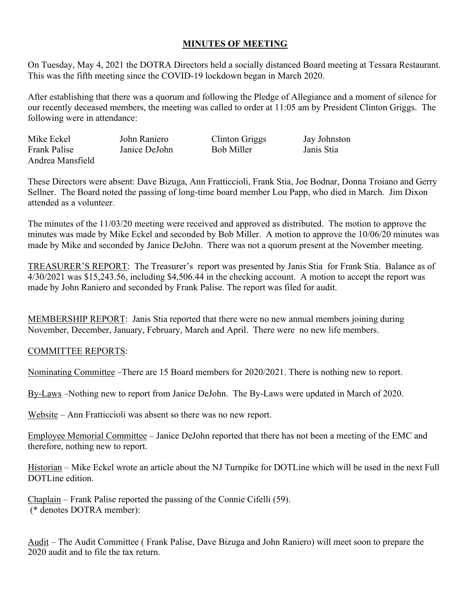## **MINUTES OF MEETING**

On Tuesday, May 4, 2021 the DOTRA Directors held a socially distanced Board meeting at Tessara Restaurant. This was the fifth meeting since the COVID-19 lockdown began in March 2020.

After establishing that there was a quorum and following the Pledge of Allegiance and a moment of silence for our recently deceased members, the meeting was called to order at 11:05 am by President Clinton Griggs. The following were in attendance:

| Mike Eckel          | John Raniero  | Clinton Griggs | Jay Johnston |
|---------------------|---------------|----------------|--------------|
| <b>Frank Palise</b> | Janice DeJohn | Bob Miller     | Janis Stia   |
| Andrea Mansfield    |               |                |              |

These Directors were absent: Dave Bizuga, Ann Fratticcioli, Frank Stia, Joe Bodnar, Donna Troiano and Gerry Sellner. The Board noted the passing of long-time board member Lou Papp, who died in March. Jim Dixon attended as a volunteer.

The minutes of the 11/03/20 meeting were received and approved as distributed. The motion to approve the minutes was made by Mike Eckel and seconded by Bob Miller. A motion to approve the 10/06/20 minutes was made by Mike and seconded by Janice DeJohn. There was not a quorum present at the November meeting.

TREASURER'S REPORT: The Treasurer's report was presented by Janis Stia for Frank Stia. Balance as of 4/30/2021 was \$15,243.56, including \$4,506.44 in the checking account. A motion to accept the report was made by John Raniero and seconded by Frank Palise. The report was filed for audit.

MEMBERSHIP REPORT: Janis Stia reported that there were no new annual members joining during November, December, January, February, March and April. There were no new life members.

## COMMITTEE REPORTS:

Nominating Committee –There are 15 Board members for 2020/2021. There is nothing new to report.

By-Laws –Nothing new to report from Janice DeJohn. The By-Laws were updated in March of 2020.

Website – Ann Fratticcioli was absent so there was no new report.

Employee Memorial Committee – Janice DeJohn reported that there has not been a meeting of the EMC and therefore, nothing new to report.

Historian – Mike Eckel wrote an article about the NJ Turnpike for DOTLine which will be used in the next Full DOTLine edition.

Chaplain – Frank Palise reported the passing of the Connie Cifelli (59). (\* denotes DOTRA member):

Audit – The Audit Committee ( Frank Palise, Dave Bizuga and John Raniero) will meet soon to prepare the 2020 audit and to file the tax return.